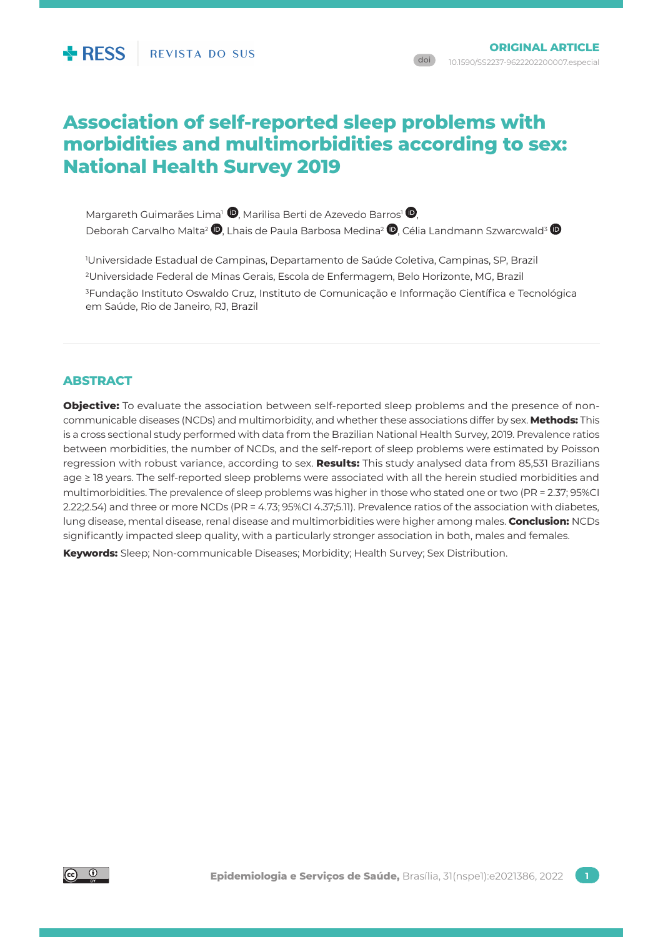# **Association of self-reported sleep problems with morbidities and multimorbidities according to sex: National Health Survey 2019**

Margareth Guimarães Lima<sup>1</sup> <sup>(D</sup>. Marilisa Berti de Azevedo Barros<sup>1</sup> <sup>(D</sup>. Deborah Carvalho Malta<sup>2</sup>  $\bullet$ [,](http://orcid.org/0000-0002-8214-5734) Lhais de Paula Barbosa Medina<sup>2</sup>  $\bullet$ [,](http://orcid.org/0000-0001-7033-9809) Célia Landmann Szwarcwald<sup>3</sup>  $\bullet$ 

 Universidade Estadual de Campinas, Departamento de Saúde Coletiva, Campinas, SP, Brazil Universidade Federal de Minas Gerais, Escola de Enfermagem, Belo Horizonte, MG, Brazil Fundação Instituto Oswaldo Cruz, Instituto de Comunicação e Informação Científica e Tecnológica em Saúde, Rio de Janeiro, RJ, Brazil

# **ABSTRACT**

**Objective:** To evaluate the association between self-reported sleep problems and the presence of noncommunicable diseases (NCDs) and multimorbidity, and whether these associations differ by sex. **Methods:** This is a cross sectional study performed with data from the Brazilian National Health Survey, 2019. Prevalence ratios between morbidities, the number of NCDs, and the self-report of sleep problems were estimated by Poisson regression with robust variance, according to sex. **Results:** This study analysed data from 85,531 Brazilians age ≥ 18 years. The self-reported sleep problems were associated with all the herein studied morbidities and multimorbidities. The prevalence of sleep problems was higher in those who stated one or two (PR = 2.37; 95%CI 2.22;2.54) and three or more NCDs (PR = 4.73; 95%CI 4.37;5.11). Prevalence ratios of the association with diabetes, lung disease, mental disease, renal disease and multimorbidities were higher among males. **Conclusion:** NCDs significantly impacted sleep quality, with a particularly stronger association in both, males and females.

**Keywords:** Sleep; Non-communicable Diseases; Morbidity; Health Survey; Sex Distribution.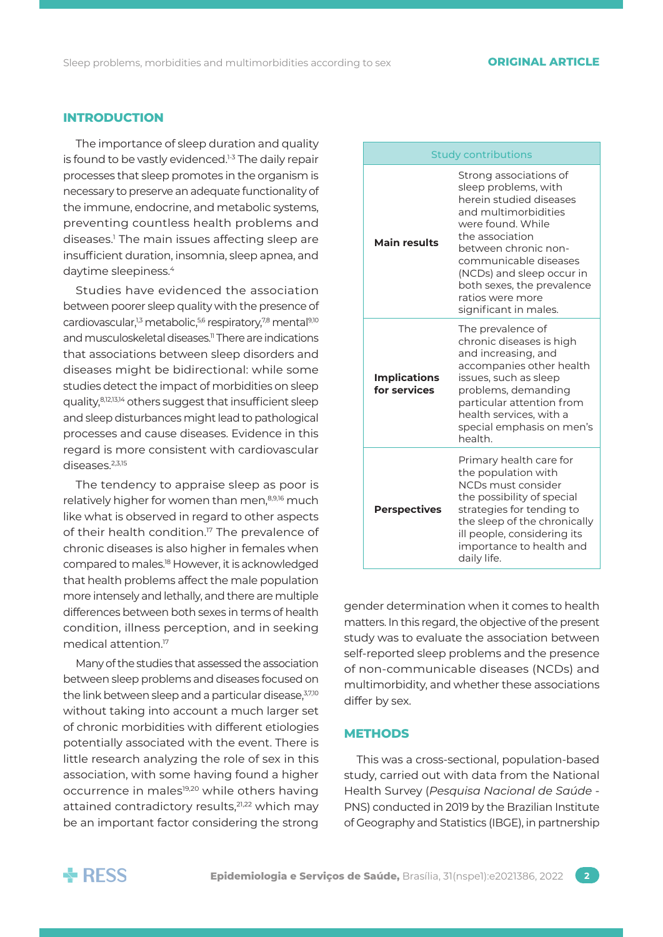# **INTRODUCTION**

The importance of sleep duration and quality is found to be vastly evidenced.<sup>1-3</sup> The daily repair processes that sleep promotes in the organism is necessary to preserve an adequate functionality of the immune, endocrine, and metabolic systems, preventing countless health problems and diseases.1 The main issues affecting sleep are insufficient duration, insomnia, sleep apnea, and daytime sleepiness.<sup>4</sup>

Studies have evidenced the association between poorer sleep quality with the presence of cardiovascular,<sup>1,3</sup> metabolic,<sup>5,6</sup> respiratory,<sup>7,8</sup> mental<sup>9,10</sup> and musculoskeletal diseases.<sup>11</sup> There are indications that associations between sleep disorders and diseases might be bidirectional: while some studies detect the impact of morbidities on sleep quality,8,12,13,14 others suggest that insufficient sleep and sleep disturbances might lead to pathological processes and cause diseases. Evidence in this regard is more consistent with cardiovascular diseases.<sup>2,3,15</sup>

The tendency to appraise sleep as poor is relatively higher for women than men,<sup>8,9,16</sup> much like what is observed in regard to other aspects of their health condition.<sup>17</sup> The prevalence of chronic diseases is also higher in females when compared to males.18 However, it is acknowledged that health problems affect the male population more intensely and lethally, and there are multiple differences between both sexes in terms of health condition, illness perception, and in seeking medical attention.17

Many of the studies that assessed the association between sleep problems and diseases focused on the link between sleep and a particular disease, 3,7,10 without taking into account a much larger set of chronic morbidities with different etiologies potentially associated with the event. There is little research analyzing the role of sex in this association, with some having found a higher occurrence in males<sup>19,20</sup> while others having attained contradictory results,<sup>21,22</sup> which may be an important factor considering the strong

| <b>Study contributions</b>          |                                                                                                                                                                                                                                                                                                    |  |  |
|-------------------------------------|----------------------------------------------------------------------------------------------------------------------------------------------------------------------------------------------------------------------------------------------------------------------------------------------------|--|--|
| <b>Main results</b>                 | Strong associations of<br>sleep problems, with<br>herein studied diseases<br>and multimorbidities<br>were found. While<br>the association<br>between chronic non-<br>communicable diseases<br>(NCDs) and sleep occur in<br>both sexes, the prevalence<br>ratios were more<br>significant in males. |  |  |
| <b>Implications</b><br>for services | The prevalence of<br>chronic diseases is high<br>and increasing, and<br>accompanies other health<br>issues, such as sleep<br>problems, demanding<br>particular attention from<br>health services, with a<br>special emphasis on men's<br>health.                                                   |  |  |
| <b>Perspectives</b>                 | Primary health care for<br>the population with<br>NCDs must consider<br>the possibility of special<br>strategies for tending to<br>the sleep of the chronically<br>ill people, considering its<br>importance to health and<br>daily life.                                                          |  |  |

gender determination when it comes to health matters. In this regard, the objective of the present study was to evaluate the association between self-reported sleep problems and the presence of non-communicable diseases (NCDs) and multimorbidity, and whether these associations differ by sex.

#### **METHODS**

This was a cross-sectional, population-based study, carried out with data from the National Health Survey (*Pesquisa Nacional de Saúde* - PNS) conducted in 2019 by the Brazilian Institute of Geography and Statistics (IBGE), in partnership

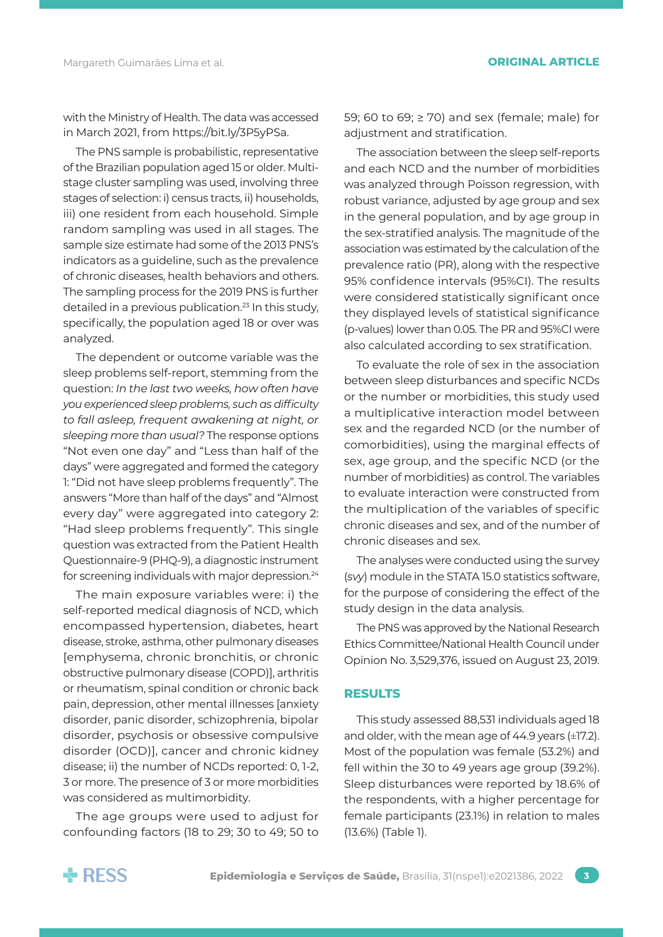with the Ministry of Health. The data was accessed in March 2021, from [https://bit.ly/3P5yPSa.](https://bit.ly/3P5yPSa)

The PNS sample is probabilistic, representative of the Brazilian population aged 15 or older. Multistage cluster sampling was used, involving three stages of selection: i) census tracts, ii) households, iii) one resident from each household. Simple random sampling was used in all stages. The sample size estimate had some of the 2013 PNS's indicators as a guideline, such as the prevalence of chronic diseases, health behaviors and others. The sampling process for the 2019 PNS is further detailed in a previous publication.<sup>23</sup> In this study, specifically, the population aged 18 or over was analyzed.

The dependent or outcome variable was the sleep problems self-report, stemming from the question: *In the last two weeks, how often have you experienced sleep problems, such as difficulty to fall asleep, frequent awakening at night, or sleeping more than usual?* The response options "Not even one day" and "Less than half of the days" were aggregated and formed the category 1: "Did not have sleep problems frequently". The answers "More than half of the days" and "Almost every day" were aggregated into category 2: "Had sleep problems frequently". This single question was extracted from the Patient Health Questionnaire-9 (PHQ-9), a diagnostic instrument for screening individuals with major depression.24

The main exposure variables were: i) the self-reported medical diagnosis of NCD, which encompassed hypertension, diabetes, heart disease, stroke, asthma, other pulmonary diseases [emphysema, chronic bronchitis, or chronic obstructive pulmonary disease (COPD)], arthritis or rheumatism, spinal condition or chronic back pain, depression, other mental illnesses [anxiety disorder, panic disorder, schizophrenia, bipolar disorder, psychosis or obsessive compulsive disorder (OCD)], cancer and chronic kidney disease; ii) the number of NCDs reported: 0, 1-2, 3 or more. The presence of 3 or more morbidities was considered as multimorbidity.

The age groups were used to adjust for confounding factors (18 to 29; 30 to 49; 50 to 59; 60 to 69; ≥ 70) and sex (female; male) for adjustment and stratification.

The association between the sleep self-reports and each NCD and the number of morbidities was analyzed through Poisson regression, with robust variance, adjusted by age group and sex in the general population, and by age group in the sex-stratified analysis. The magnitude of the association was estimated by the calculation of the prevalence ratio (PR), along with the respective 95% confidence intervals (95%CI). The results were considered statistically significant once they displayed levels of statistical significance (p-values) lower than 0.05. The PR and 95%CI were also calculated according to sex stratification.

To evaluate the role of sex in the association between sleep disturbances and specific NCDs or the number or morbidities, this study used a multiplicative interaction model between sex and the regarded NCD (or the number of comorbidities), using the marginal effects of sex, age group, and the specific NCD (or the number of morbidities) as control. The variables to evaluate interaction were constructed from the multiplication of the variables of specific chronic diseases and sex, and of the number of chronic diseases and sex.

The analyses were conducted using the survey (*svy*) module in the STATA 15.0 statistics software, for the purpose of considering the effect of the study design in the data analysis.

The PNS was approved by the National Research Ethics Committee/National Health Council under Opinion No. 3,529,376, issued on August 23, 2019.

# **RESULTS**

This study assessed 88,531 individuals aged 18 and older, with the mean age of 44.9 years (±17.2). Most of the population was female (53.2%) and fell within the 30 to 49 years age group (39.2%). Sleep disturbances were reported by 18.6% of the respondents, with a higher percentage for female participants (23.1%) in relation to males (13.6%) (Table 1).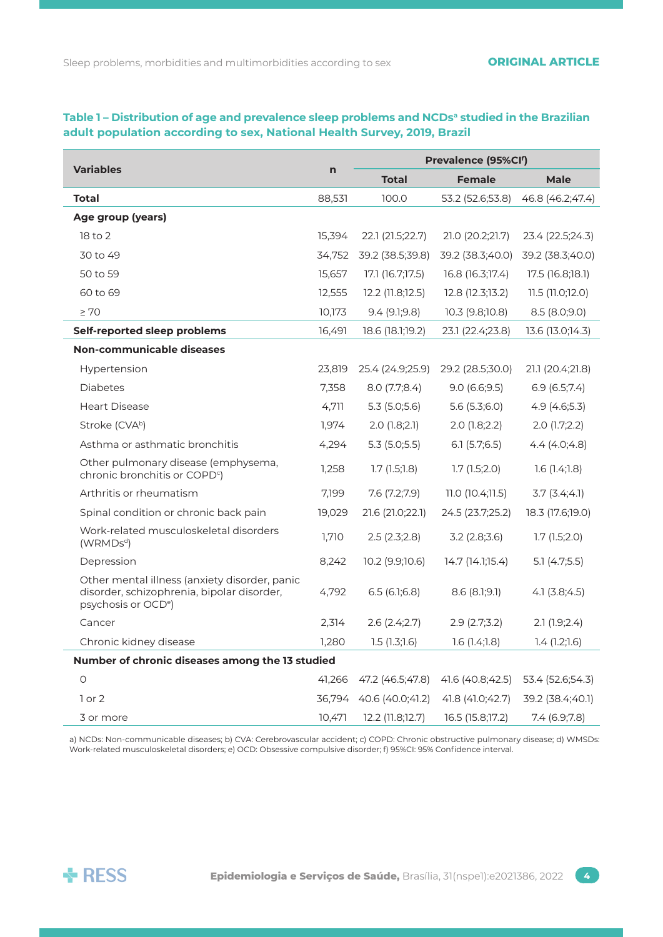# **Variables n Prevalence (95%CIf ) Total Female Male Total** 88,531 100.0 53.2 (52.6;53.8) 46.8 (46.2;47.4) **Age group (years)** 18 to 2 15,394 22.1 (21.5;22.7) 21.0 (20.2;21.7) 23.4 (22.5;24.3) 30 to 49 34,752 39.2 (38.5;39.8) 39.2 (38.3;40.0) 39.2 (38.3;40.0) 50 to 59 15,657 17.1 (16.7;17.5) 16.8 (16.3;17.4) 17.5 (16.8;18.1) 60 to 69 12,555 12.2 (11.8;12.5) 12.8 (12.3;13.2) 11.5 (11.0;12.0) ≥ 70 10,173 9.4 (9.1;9.8) 10.3 (9.8;10.8) 8.5 (8.0;9.0) **Self-reported sleep problems** 16,491 18.6 (18.1;19.2) 23.1 (22.4;23.8) 13.6 (13.0;14.3) **Non-communicable diseases** Hypertension 23,819 25.4 (24.9;25.9) 29.2 (28.5;30.0) 21.1 (20.4;21.8) Diabetes 7,358 8.0 (7.7;8.4) 9.0 (6.6;9.5) 6.9 (6.5;7.4) Heart Disease 2012 12:4,711 4,711 5.3 (5.0;5.6) 5.6 (5.3;6.0) 4.9 (4.6;5.3) Stroke (CVA<sup>b</sup>) 1,974 2.0 (1.8;2.1) 2.0 (1.8;2.2) 2.0 (1.7;2.2) Asthma or asthmatic bronchitis 4,294 5.3 (5.0;5.5) 6.1 (5.7;6.5) 4.4 (4.0;4.8) Other pulmonary disease (emphysema, chronic bronchitis or COPD<sup>c</sup>) ) 1,258 1.7 (1.5;1.8) 1.7 (1.5;2.0) 1.6 (1.4;1.8) Arthritis or rheumatism 7,199 7.6 (7.2;7.9) 11.0 (10.4;11.5) 3.7 (3.4;4.1) Spinal condition or chronic back pain 19,029 21.6 (21.0;22.1) 24.5 (23.7;25.2) 18.3 (17.6;19.0) Work-related musculoskeletal disorders work elated masedioskeideardisorders (1,710 2.5 (2.3;2.8) 3.2 (2.8;3.6) 1.7 (1.5;2.0) Depression 8,242 10.2 (9.9;10.6) 14.7 (14.1;15.4) 5.1 (4.7;5.5) Other mental illness (anxiety disorder, panic disorder, schizophrenia, bipolar disorder, psychosis or OCDe) 4,792 6.5 (6.1;6.8) 8.6 (8.1;9.1) 4.1 (3.8;4.5) Cancer 2,314 2.6 (2.4;2.7) 2.9 (2.7;3.2) 2.1 (1.9;2.4) Chronic kidney disease 1,280 1.5 (1.3;1.6) 1.6 (1.4;1.8) 1.4 (1.2;1.6) **Number of chronic diseases among the 13 studied** 0 41,266 47.2 (46.5;47.8) 41.6 (40.8;42.5) 53.4 (52.6;54.3) 1 or 2 36,794 40.6 (40.0;41.2) 41.8 (41.0;42.7) 39.2 (38.4;40.1) 3 or more 10,471 12.2 (11.8;12.7) 16.5 (15.8;17.2) 7.4 (6.9;7.8)

# Table 1 – Distribution of age and prevalence sleep problems and NCDs<sup>a</sup> studied in the Brazilian **adult population according to sex, National Health Survey, 2019, Brazil**

a) NCDs: Non-communicable diseases; b) CVA: Cerebrovascular accident; c) COPD: Chronic obstructive pulmonary disease; d) WMSDs: Work-related musculoskeletal disorders; e) OCD: Obsessive compulsive disorder; f) 95%CI: 95% Confidence interval.

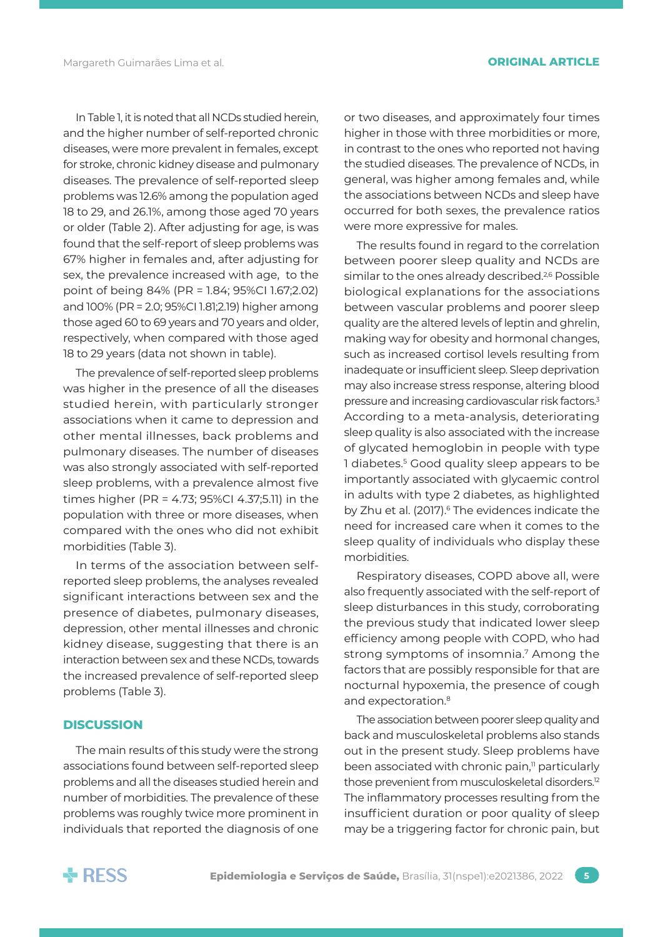In Table 1, it is noted that all NCDs studied herein, and the higher number of self-reported chronic diseases, were more prevalent in females, except for stroke, chronic kidney disease and pulmonary diseases. The prevalence of self-reported sleep problems was 12.6% among the population aged 18 to 29, and 26.1%, among those aged 70 years or older (Table 2). After adjusting for age, is was found that the self-report of sleep problems was 67% higher in females and, after adjusting for sex, the prevalence increased with age, to the point of being 84% (PR = 1.84; 95%CI 1.67;2.02) and 100% (PR = 2.0; 95%CI 1.81;2.19) higher among those aged 60 to 69 years and 70 years and older, respectively, when compared with those aged 18 to 29 years (data not shown in table).

The prevalence of self-reported sleep problems was higher in the presence of all the diseases studied herein, with particularly stronger associations when it came to depression and other mental illnesses, back problems and pulmonary diseases. The number of diseases was also strongly associated with self-reported sleep problems, with a prevalence almost five times higher (PR = 4.73; 95%CI 4.37;5.11) in the population with three or more diseases, when compared with the ones who did not exhibit morbidities (Table 3).

In terms of the association between selfreported sleep problems, the analyses revealed significant interactions between sex and the presence of diabetes, pulmonary diseases, depression, other mental illnesses and chronic kidney disease, suggesting that there is an interaction between sex and these NCDs, towards the increased prevalence of self-reported sleep problems (Table 3).

# **DISCUSSION**

The main results of this study were the strong associations found between self-reported sleep problems and all the diseases studied herein and number of morbidities. The prevalence of these problems was roughly twice more prominent in individuals that reported the diagnosis of one

or two diseases, and approximately four times higher in those with three morbidities or more, in contrast to the ones who reported not having the studied diseases. The prevalence of NCDs, in general, was higher among females and, while the associations between NCDs and sleep have occurred for both sexes, the prevalence ratios were more expressive for males.

The results found in regard to the correlation between poorer sleep quality and NCDs are similar to the ones already described.<sup>2,6</sup> Possible biological explanations for the associations between vascular problems and poorer sleep quality are the altered levels of leptin and ghrelin, making way for obesity and hormonal changes, such as increased cortisol levels resulting from inadequate or insufficient sleep. Sleep deprivation may also increase stress response, altering blood pressure and increasing cardiovascular risk factors.<sup>3</sup> According to a meta-analysis, deteriorating sleep quality is also associated with the increase of glycated hemoglobin in people with type 1 diabetes.5 Good quality sleep appears to be importantly associated with glycaemic control in adults with type 2 diabetes, as highlighted by Zhu et al. (2017).<sup>6</sup> The evidences indicate the need for increased care when it comes to the sleep quality of individuals who display these morbidities.

Respiratory diseases, COPD above all, were also frequently associated with the self-report of sleep disturbances in this study, corroborating the previous study that indicated lower sleep efficiency among people with COPD, who had strong symptoms of insomnia.<sup>7</sup> Among the factors that are possibly responsible for that are nocturnal hypoxemia, the presence of cough and expectoration.<sup>8</sup>

The association between poorer sleep quality and back and musculoskeletal problems also stands out in the present study. Sleep problems have been associated with chronic pain,<sup>11</sup> particularly those prevenient from musculoskeletal disorders.12 The inflammatory processes resulting from the insufficient duration or poor quality of sleep may be a triggering factor for chronic pain, but

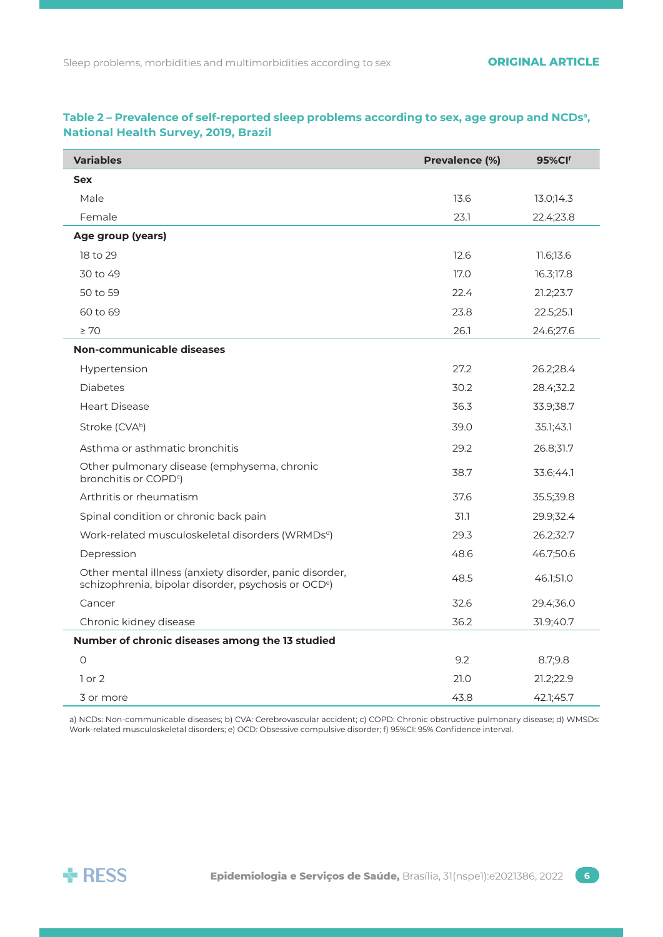| <b>Variables</b>                                                                                                            | Prevalence (%) | <b>95%CIf</b> |
|-----------------------------------------------------------------------------------------------------------------------------|----------------|---------------|
| <b>Sex</b>                                                                                                                  |                |               |
| Male                                                                                                                        | 13.6           | 13.0;14.3     |
| Female                                                                                                                      | 23.1           | 22.4;23.8     |
| Age group (years)                                                                                                           |                |               |
| 18 to 29                                                                                                                    | 12.6           | 11.6;13.6     |
| 30 to 49                                                                                                                    | 17.0           | 16.3;17.8     |
| 50 to 59                                                                                                                    | 22.4           | 21.2;23.7     |
| 60 to 69                                                                                                                    | 23.8           | 22.5;25.1     |
| $\geq 70$                                                                                                                   | 26.1           | 24.6;27.6     |
| Non-communicable diseases                                                                                                   |                |               |
| Hypertension                                                                                                                | 27.2           | 26.2;28.4     |
| <b>Diabetes</b>                                                                                                             | 30.2           | 28.4;32.2     |
| <b>Heart Disease</b>                                                                                                        | 36.3           | 33.9;38.7     |
| Stroke (CVAb)                                                                                                               | 39.0           | 35.1;43.1     |
| Asthma or asthmatic bronchitis                                                                                              | 29.2           | 26.8;31.7     |
| Other pulmonary disease (emphysema, chronic<br>bronchitis or COPD <sup>c</sup> )                                            | 38.7           | 33.6;44.1     |
| Arthritis or rheumatism                                                                                                     | 37.6           | 35.5;39.8     |
| Spinal condition or chronic back pain                                                                                       | 31.1           | 29.9;32.4     |
| Work-related musculoskeletal disorders (WRMDsd)                                                                             | 29.3           | 26.2;32.7     |
| Depression                                                                                                                  | 48.6           | 46.7;50.6     |
| Other mental illness (anxiety disorder, panic disorder,<br>schizophrenia, bipolar disorder, psychosis or OCD <sup>e</sup> ) | 48.5           | 46.1;51.0     |
| Cancer                                                                                                                      | 32.6           | 29.4;36.0     |
| Chronic kidney disease                                                                                                      | 36.2           | 31.9;40.7     |
| Number of chronic diseases among the 13 studied                                                                             |                |               |
| $\circ$                                                                                                                     | 9.2            | 8.7;9.8       |
| $1$ or $2$                                                                                                                  | 21.0           | 21.2;22.9     |
| 3 or more                                                                                                                   | 43.8           | 42.1;45.7     |

# Table 2 – Prevalence of self-reported sleep problems according to sex, age group and NCDs<sup>a</sup>, **National Health Survey, 2019, Brazil**

a) NCDs: Non-communicable diseases; b) CVA: Cerebrovascular accident; c) COPD: Chronic obstructive pulmonary disease; d) WMSDs: Work-related musculoskeletal disorders; e) OCD: Obsessive compulsive disorder; f) 95%CI: 95% Confidence interval.

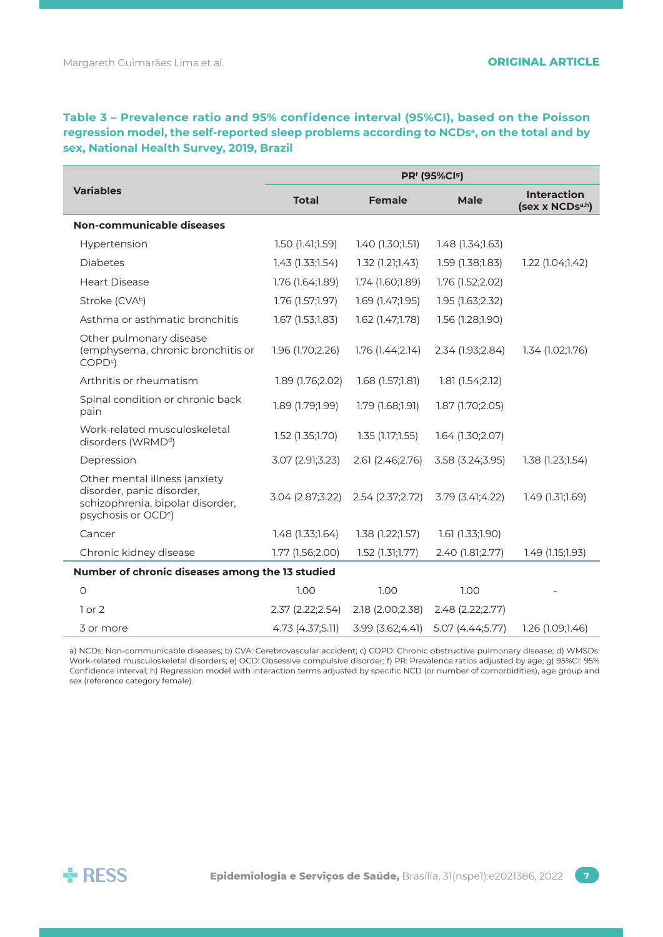# **Table 3 – Prevalence ratio and 95% confidence interval (95%CI), based on the Poisson**  regression model, the self-reported sleep problems according to NCDs<sup>a</sup>, on the total and by **sex, National Health Survey, 2019, Brazil**

| <b>Variables</b>                                                                                                                  | PRf (95%Cl9)     |                      |                  |                                       |  |  |
|-----------------------------------------------------------------------------------------------------------------------------------|------------------|----------------------|------------------|---------------------------------------|--|--|
|                                                                                                                                   | <b>Total</b>     | <b>Female</b>        | <b>Male</b>      | <b>Interaction</b><br>(sex x NCDsa,h) |  |  |
| Non-communicable diseases                                                                                                         |                  |                      |                  |                                       |  |  |
| Hypertension                                                                                                                      | 1.50(1.41;1.59)  | 1.40(1.30;1.51)      | 1.48(1.34;1.63)  |                                       |  |  |
| <b>Diabetes</b>                                                                                                                   | 1.43(1.33;1.54)  | 1.32(1.21;1.43)      | 1.59 (1.38;1.83) | 1.22(1.04;1.42)                       |  |  |
| <b>Heart Disease</b>                                                                                                              | 1.76 (1.64;1.89) | 1.74 (1.60;1.89)     | 1.76 (1.52;2.02) |                                       |  |  |
| Stroke (CVAb)                                                                                                                     | 1.76 (1.57;1.97) | $1.69$ $(1.47;1.95)$ | 1.95 (1.63;2.32) |                                       |  |  |
| Asthma or asthmatic bronchitis                                                                                                    | 1.67 (1.53;1.83) | 1.62 (1.47;1.78)     | 1.56 (1.28;1.90) |                                       |  |  |
| Other pulmonary disease<br>(emphysema, chronic bronchitis or<br>COPD <sup>c</sup>                                                 | 1.96 (1.70;2.26) | 1.76(1.44;2.14)      | 2.34 (1.93;2.84) | 1.34(1.02;1.76)                       |  |  |
| Arthritis or rheumatism                                                                                                           | 1.89 (1.76;2.02) | $1.68$ $(1.57;1.81)$ | 1.81(1.54;2.12)  |                                       |  |  |
| Spinal condition or chronic back<br>pain                                                                                          | 1.89 (1.79;1.99) | 1.79(1.68;1.91)      | 1.87 (1.70;2.05) |                                       |  |  |
| Work-related musculoskeletal<br>disorders (WRMD <sup>d</sup> )                                                                    | 1.52 (1.35;1.70) | 1.35(1.17;1.55)      | 1.64 (1.30;2.07) |                                       |  |  |
| Depression                                                                                                                        | 3.07 (2.91;3.23) | 2.61 (2.46;2.76)     | 3.58 (3.24;3.95) | 1.38 (1.23;1.54)                      |  |  |
| Other mental illness (anxiety<br>disorder, panic disorder,<br>schizophrenia, bipolar disorder,<br>psychosis or OCD <sup>e</sup> ) | 3.04 (2.87;3.22) | 2.54 (2.37;2.72)     | 3.79 (3.41;4.22) | $1.49$ (1.31;1.69)                    |  |  |
| Cancer                                                                                                                            | 1.48 (1.33;1.64) | 1.38(1.22;1.57)      | 1.61(1.33;1.90)  |                                       |  |  |
| Chronic kidney disease                                                                                                            | 1.77 (1.56;2.00) | $1.52$ (1.31;1.77)   | 2.40 (1.81;2.77) | 1.49 (1.15;1.93)                      |  |  |
| Number of chronic diseases among the 13 studied                                                                                   |                  |                      |                  |                                       |  |  |
| $\circ$                                                                                                                           | 1.00             | 1.00                 | 1.00             |                                       |  |  |
| $1$ or $2$                                                                                                                        | 2.37 (2.22;2.54) | 2.18 (2.00;2.38)     | 2.48 (2.22;2.77) |                                       |  |  |
| 3 or more                                                                                                                         | 4.73 (4.37;5.11) | 3.99 (3.62;4.41)     | 5.07 (4.44;5.77) | 1.26 (1.09;1.46)                      |  |  |

a) NCDs: Non-communicable diseases; b) CVA: Cerebrovascular accident; c) COPD: Chronic obstructive pulmonary disease; d) WMSDs: Work-related musculoskeletal disorders; e) OCD: Obsessive compulsive disorder; f) PR: Prevalence ratios adjusted by age; g) 95%CI: 95% Confidence interval; h) Regression model with interaction terms adjusted by specific NCD (or number of comorbidities), age group and sex (reference category female).

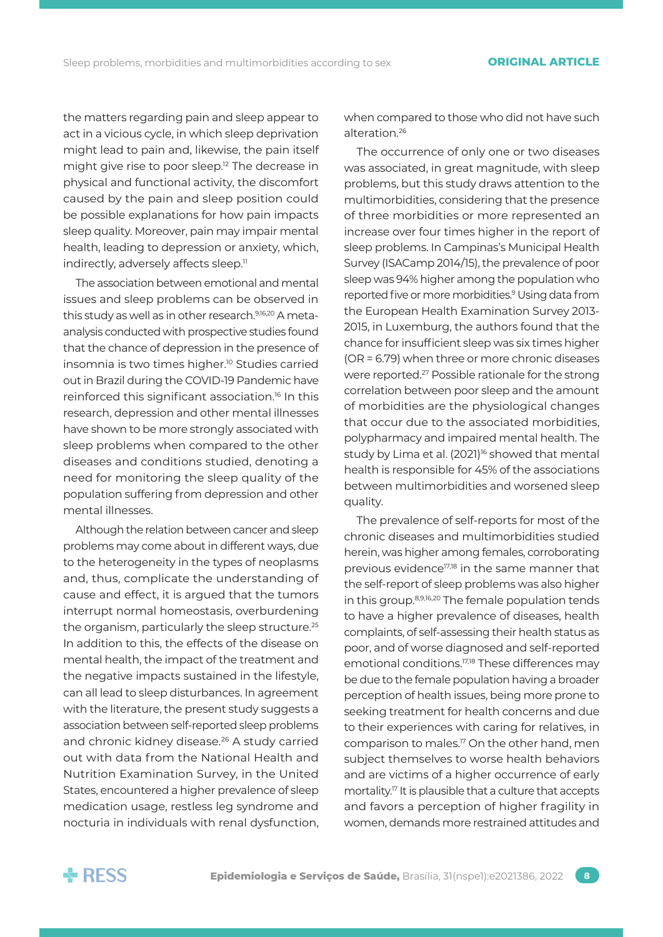the matters regarding pain and sleep appear to act in a vicious cycle, in which sleep deprivation might lead to pain and, likewise, the pain itself might give rise to poor sleep.<sup>12</sup> The decrease in physical and functional activity, the discomfort caused by the pain and sleep position could be possible explanations for how pain impacts sleep quality. Moreover, pain may impair mental health, leading to depression or anxiety, which, indirectly, adversely affects sleep.<sup>11</sup>

The association between emotional and mental issues and sleep problems can be observed in this study as well as in other research.<sup>9,16,20</sup> A metaanalysis conducted with prospective studies found that the chance of depression in the presence of insomnia is two times higher.10 Studies carried out in Brazil during the COVID-19 Pandemic have reinforced this significant association.16 In this research, depression and other mental illnesses have shown to be more strongly associated with sleep problems when compared to the other diseases and conditions studied, denoting a need for monitoring the sleep quality of the population suffering from depression and other mental illnesses.

Although the relation between cancer and sleep problems may come about in different ways, due to the heterogeneity in the types of neoplasms and, thus, complicate the understanding of cause and effect, it is argued that the tumors interrupt normal homeostasis, overburdening the organism, particularly the sleep structure.<sup>25</sup> In addition to this, the effects of the disease on mental health, the impact of the treatment and the negative impacts sustained in the lifestyle, can all lead to sleep disturbances. In agreement with the literature, the present study suggests a association between self-reported sleep problems and chronic kidney disease.<sup>26</sup> A study carried out with data from the National Health and Nutrition Examination Survey, in the United States, encountered a higher prevalence of sleep medication usage, restless leg syndrome and nocturia in individuals with renal dysfunction, when compared to those who did not have such alteration.26

The occurrence of only one or two diseases was associated, in great magnitude, with sleep problems, but this study draws attention to the multimorbidities, considering that the presence of three morbidities or more represented an increase over four times higher in the report of sleep problems. In Campinas's Municipal Health Survey (ISACamp 2014/15), the prevalence of poor sleep was 94% higher among the population who reported five or more morbidities.<sup>9</sup> Using data from the European Health Examination Survey 2013- 2015, in Luxemburg, the authors found that the chance for insufficient sleep was six times higher (OR = 6.79) when three or more chronic diseases were reported.27 Possible rationale for the strong correlation between poor sleep and the amount of morbidities are the physiological changes that occur due to the associated morbidities, polypharmacy and impaired mental health. The study by Lima et al. (2021)<sup>16</sup> showed that mental health is responsible for 45% of the associations between multimorbidities and worsened sleep quality.

The prevalence of self-reports for most of the chronic diseases and multimorbidities studied herein, was higher among females, corroborating previous evidence<sup>17,18</sup> in the same manner that the self-report of sleep problems was also higher in this group.8,9,16,20 The female population tends to have a higher prevalence of diseases, health complaints, of self-assessing their health status as poor, and of worse diagnosed and self-reported emotional conditions.<sup>17,18</sup> These differences may be due to the female population having a broader perception of health issues, being more prone to seeking treatment for health concerns and due to their experiences with caring for relatives, in comparison to males.17 On the other hand, men subject themselves to worse health behaviors and are victims of a higher occurrence of early mortality.17 It is plausible that a culture that accepts and favors a perception of higher fragility in women, demands more restrained attitudes and

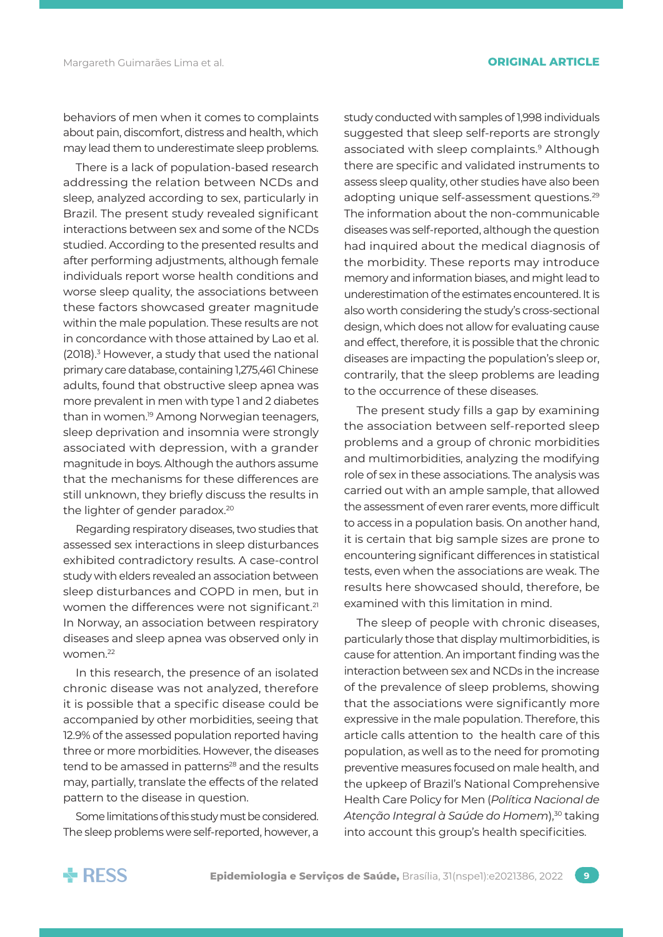behaviors of men when it comes to complaints about pain, discomfort, distress and health, which may lead them to underestimate sleep problems.

There is a lack of population-based research addressing the relation between NCDs and sleep, analyzed according to sex, particularly in Brazil. The present study revealed significant interactions between sex and some of the NCDs studied. According to the presented results and after performing adjustments, although female individuals report worse health conditions and worse sleep quality, the associations between these factors showcased greater magnitude within the male population. These results are not in concordance with those attained by Lao et al. (2018).<sup>3</sup> However, a study that used the national primary care database, containing 1,275,461 Chinese adults, found that obstructive sleep apnea was more prevalent in men with type 1 and 2 diabetes than in women.<sup>19</sup> Among Norwegian teenagers, sleep deprivation and insomnia were strongly associated with depression, with a grander magnitude in boys. Although the authors assume that the mechanisms for these differences are still unknown, they briefly discuss the results in the lighter of gender paradox.<sup>20</sup>

Regarding respiratory diseases, two studies that assessed sex interactions in sleep disturbances exhibited contradictory results. A case-control study with elders revealed an association between sleep disturbances and COPD in men, but in women the differences were not significant.<sup>21</sup> In Norway, an association between respiratory diseases and sleep apnea was observed only in women.22

In this research, the presence of an isolated chronic disease was not analyzed, therefore it is possible that a specific disease could be accompanied by other morbidities, seeing that 12.9% of the assessed population reported having three or more morbidities. However, the diseases tend to be amassed in patterns<sup>28</sup> and the results may, partially, translate the effects of the related pattern to the disease in question.

Some limitations of this study must be considered. The sleep problems were self-reported, however, a study conducted with samples of 1,998 individuals suggested that sleep self-reports are strongly associated with sleep complaints.<sup>9</sup> Although there are specific and validated instruments to assess sleep quality, other studies have also been adopting unique self-assessment questions.<sup>29</sup> The information about the non-communicable diseases was self-reported, although the question had inquired about the medical diagnosis of the morbidity. These reports may introduce memory and information biases, and might lead to underestimation of the estimates encountered. It is also worth considering the study's cross-sectional design, which does not allow for evaluating cause and effect, therefore, it is possible that the chronic diseases are impacting the population's sleep or, contrarily, that the sleep problems are leading to the occurrence of these diseases.

The present study fills a gap by examining the association between self-reported sleep problems and a group of chronic morbidities and multimorbidities, analyzing the modifying role of sex in these associations. The analysis was carried out with an ample sample, that allowed the assessment of even rarer events, more difficult to access in a population basis. On another hand, it is certain that big sample sizes are prone to encountering significant differences in statistical tests, even when the associations are weak. The results here showcased should, therefore, be examined with this limitation in mind.

The sleep of people with chronic diseases, particularly those that display multimorbidities, is cause for attention. An important finding was the interaction between sex and NCDs in the increase of the prevalence of sleep problems, showing that the associations were significantly more expressive in the male population. Therefore, this article calls attention to the health care of this population, as well as to the need for promoting preventive measures focused on male health, and the upkeep of Brazil's National Comprehensive Health Care Policy for Men (*Política Nacional de*  Atenção Integral à Saúde do Homem),<sup>30</sup> taking into account this group's health specificities.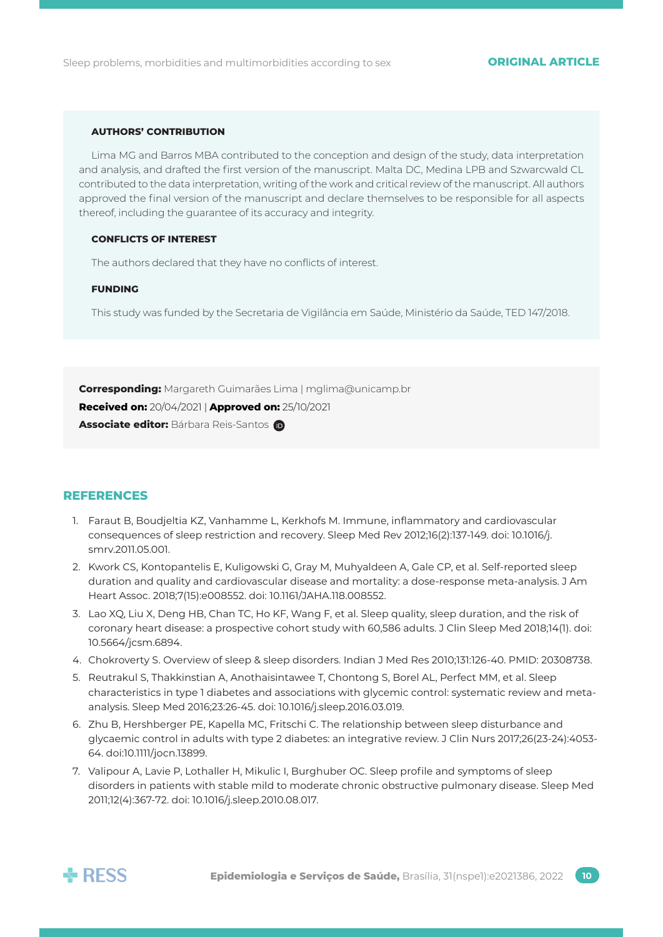#### **AUTHORS' CONTRIBUTION**

Lima MG and Barros MBA contributed to the conception and design of the study, data interpretation and analysis, and drafted the first version of the manuscript. Malta DC, Medina LPB and Szwarcwald CL contributed to the data interpretation, writing of the work and critical review of the manuscript. All authors approved the final version of the manuscript and declare themselves to be responsible for all aspects thereof, including the guarantee of its accuracy and integrity.

### **CONFLICTS OF INTEREST**

The authors declared that they have no conflicts of interest.

### **FUNDING**

This study was funded by the Secretaria de Vigilância em Saúde, Ministério da Saúde, TED 147/2018.

**Corresponding:** Margareth Guimarães Lima | [mglima@unicamp.br](mailto:mglima@unicamp.br) **Received on:** 20/04/2021 | **Approved on:** 25/10/2021 **Associate editor: Bárbara Reis-Santos** 

# **REFERENCES**

- 1. Faraut B, Boudjeltia KZ, Vanhamme L, Kerkhofs M. Immune, inflammatory and cardiovascular consequences of sleep restriction and recovery. Sleep Med Rev 2012;16(2):137-149. doi: 10.1016/j. smrv.2011.05.001.
- 2. Kwork CS, Kontopantelis E, Kuligowski G, Gray M, Muhyaldeen A, Gale CP, et al. Self-reported sleep duration and quality and cardiovascular disease and mortality: a dose-response meta-analysis. J Am Heart Assoc. 2018;7(15):e008552. doi: 10.1161/JAHA.118.008552.
- 3. Lao XQ, Liu X, Deng HB, Chan TC, Ho KF, Wang F, et al. Sleep quality, sleep duration, and the risk of coronary heart disease: a prospective cohort study with 60,586 adults. J Clin Sleep Med 2018;14(1). doi: 10.5664/jcsm.6894.
- 4. Chokroverty S. Overview of sleep & sleep disorders. Indian J Med Res 2010;131:126-40. PMID: 20308738.
- 5. Reutrakul S, Thakkinstian A, Anothaisintawee T, Chontong S, Borel AL, Perfect MM, et al. Sleep characteristics in type 1 diabetes and associations with glycemic control: systematic review and metaanalysis. Sleep Med 2016;23:26-45. doi: 10.1016/j.sleep.2016.03.019.
- 6. Zhu B, Hershberger PE, Kapella MC, Fritschi C. The relationship between sleep disturbance and glycaemic control in adults with type 2 diabetes: an integrative review. J Clin Nurs 2017;26(23-24):4053- 64. doi:10.1111/jocn.13899.
- 7. Valipour A, Lavie P, Lothaller H, Mikulic I, Burghuber OC. Sleep profile and symptoms of sleep disorders in patients with stable mild to moderate chronic obstructive pulmonary disease. Sleep Med 2011;12(4):367-72. doi: 10.1016/j.sleep.2010.08.017.

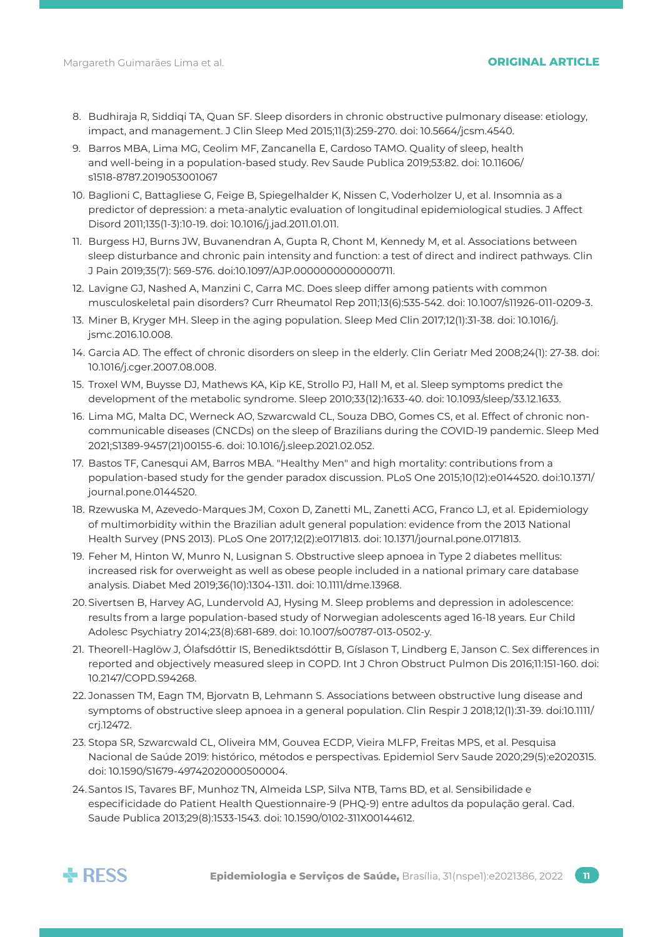### 8. Budhiraja R, Siddiqi TA, Quan SF. Sleep disorders in chronic obstructive pulmonary disease: etiology, impact, and management. J Clin Sleep Med 2015;11(3):259-270. doi: 10.5664/jcsm.4540.

- 9. Barros MBA, Lima MG, Ceolim MF, Zancanella E, Cardoso TAMO. Quality of sleep, health and well-being in a population-based study. Rev Saude Publica 2019;53:82. doi: 10.11606/ s1518-8787.2019053001067
- 10. Baglioni C, Battagliese G, Feige B, Spiegelhalder K, Nissen C, Voderholzer U, et al. Insomnia as a predictor of depression: a meta-analytic evaluation of longitudinal epidemiological studies. J Affect Disord 2011;135(1-3):10-19. doi: 10.1016/j.jad.2011.01.011.
- 11. Burgess HJ, Burns JW, Buvanendran A, Gupta R, Chont M, Kennedy M, et al. Associations between sleep disturbance and chronic pain intensity and function: a test of direct and indirect pathways. Clin J Pain 2019;35(7): 569-576. doi:10.1097/AJP.0000000000000711.
- 12. Lavigne GJ, Nashed A, Manzini C, Carra MC. Does sleep differ among patients with common musculoskeletal pain disorders? Curr Rheumatol Rep 2011;13(6):535-542. doi: 10.1007/s11926-011-0209-3.
- 13. Miner B, Kryger MH. Sleep in the aging population. Sleep Med Clin 2017;12(1):31-38. doi: 10.1016/j. jsmc.2016.10.008.
- 14. Garcia AD. The effect of chronic disorders on sleep in the elderly. Clin Geriatr Med 2008;24(1): 27-38. doi: 10.1016/j.cger.2007.08.008.
- 15. Troxel WM, Buysse DJ, Mathews KA, Kip KE, Strollo PJ, Hall M, et al. Sleep symptoms predict the development of the metabolic syndrome. Sleep 2010;33(12):1633-40. doi: 10.1093/sleep/33.12.1633.
- 16. Lima MG, Malta DC, Werneck AO, Szwarcwald CL, Souza DBO, Gomes CS, et al. Effect of chronic noncommunicable diseases (CNCDs) on the sleep of Brazilians during the COVID-19 pandemic. Sleep Med 2021;S1389-9457(21)00155-6. doi: 10.1016/j.sleep.2021.02.052.
- 17. Bastos TF, Canesqui AM, Barros MBA. "Healthy Men" and high mortality: contributions from a population-based study for the gender paradox discussion. PLoS One 2015;10(12):e0144520. doi:10.1371/ journal.pone.0144520.
- 18. Rzewuska M, Azevedo-Marques JM, Coxon D, Zanetti ML, Zanetti ACG, Franco LJ, et al. Epidemiology of multimorbidity within the Brazilian adult general population: evidence from the 2013 National Health Survey (PNS 2013). PLoS One 2017;12(2):e0171813. doi: 10.1371/journal.pone.0171813.
- 19. Feher M, Hinton W, Munro N, Lusignan S. Obstructive sleep apnoea in Type 2 diabetes mellitus: increased risk for overweight as well as obese people included in a national primary care database analysis. Diabet Med 2019;36(10):1304-1311. doi: 10.1111/dme.13968.
- 20.Sivertsen B, Harvey AG, Lundervold AJ, Hysing M. Sleep problems and depression in adolescence: results from a large population-based study of Norwegian adolescents aged 16-18 years. Eur Child Adolesc Psychiatry 2014;23(8):681-689. doi: 10.1007/s00787-013-0502-y.
- 21. Theorell-Haglöw J, Ólafsdóttir IS, Benediktsdóttir B, Gíslason T, Lindberg E, Janson C. Sex differences in reported and objectively measured sleep in COPD. Int J Chron Obstruct Pulmon Dis 2016;11:151-160. doi: 10.2147/COPD.S94268.
- 22. Jonassen TM, Eagn TM, Bjorvatn B, Lehmann S. Associations between obstructive lung disease and symptoms of obstructive sleep apnoea in a general population. Clin Respir J 2018;12(1):31-39. doi:10.1111/ crj.12472.
- 23. Stopa SR, Szwarcwald CL, Oliveira MM, Gouvea ECDP, Vieira MLFP, Freitas MPS, et al. Pesquisa Nacional de Saúde 2019: histórico, métodos e perspectivas. Epidemiol Serv Saude 2020;29(5):e2020315. doi: 10.1590/S1679-49742020000500004.
- 24.Santos IS, Tavares BF, Munhoz TN, Almeida LSP, Silva NTB, Tams BD, et al. Sensibilidade e especificidade do Patient Health Questionnaire-9 (PHQ-9) entre adultos da população geral. Cad. Saude Publica 2013;29(8):1533-1543. doi: 10.1590/0102-311X00144612.